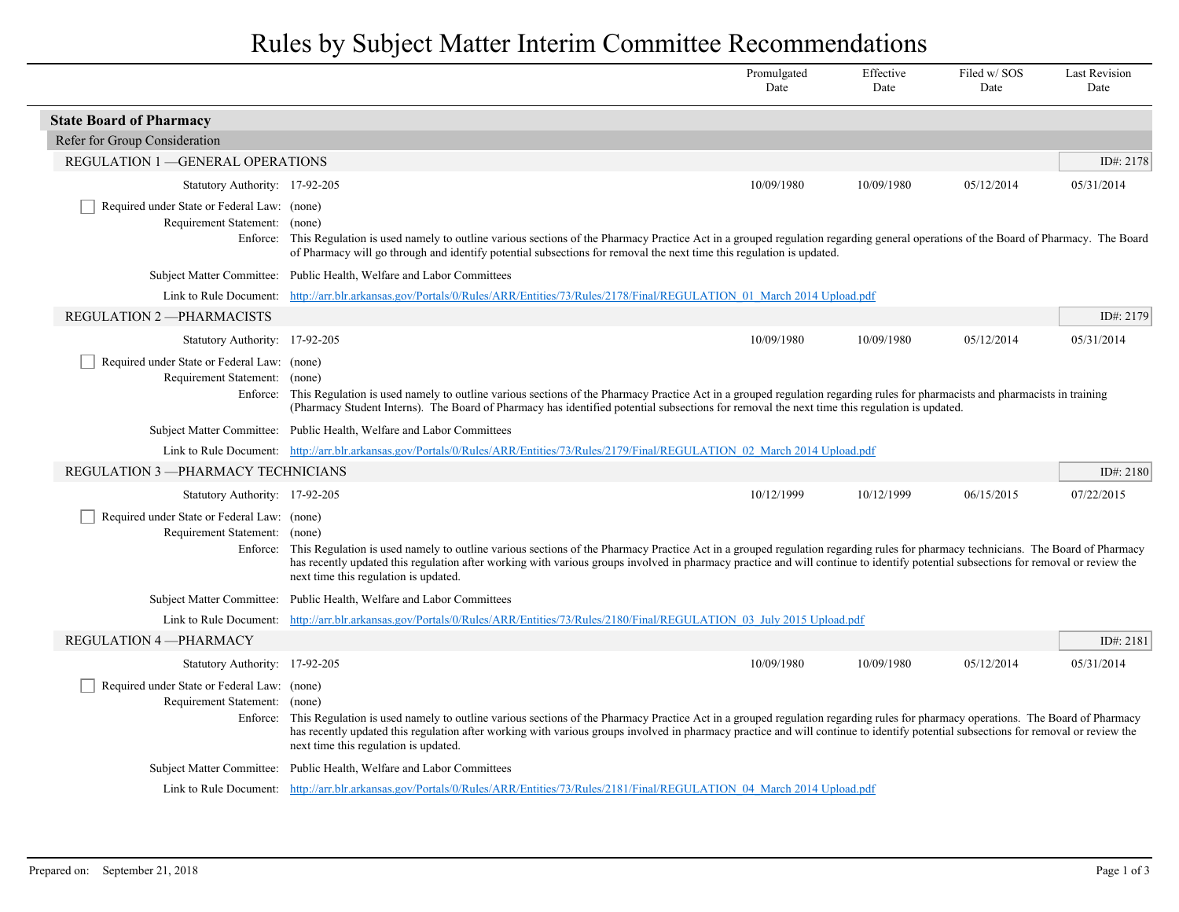## Rules by Subject Matter Interim Committee Recommendations

|                                                                                          |                                                                                                                                                                                                                                                                                                                                                                                                                         | Promulgated<br>Date | Effective<br>Date | Filed w/ SOS<br>Date | <b>Last Revision</b><br>Date |
|------------------------------------------------------------------------------------------|-------------------------------------------------------------------------------------------------------------------------------------------------------------------------------------------------------------------------------------------------------------------------------------------------------------------------------------------------------------------------------------------------------------------------|---------------------|-------------------|----------------------|------------------------------|
| <b>State Board of Pharmacy</b>                                                           |                                                                                                                                                                                                                                                                                                                                                                                                                         |                     |                   |                      |                              |
| Refer for Group Consideration                                                            |                                                                                                                                                                                                                                                                                                                                                                                                                         |                     |                   |                      |                              |
| <b>REGULATION 1 - GENERAL OPERATIONS</b>                                                 |                                                                                                                                                                                                                                                                                                                                                                                                                         |                     |                   |                      | ID#: 2178                    |
| Statutory Authority: 17-92-205                                                           |                                                                                                                                                                                                                                                                                                                                                                                                                         | 10/09/1980          | 10/09/1980        | 05/12/2014           | 05/31/2014                   |
| Required under State or Federal Law: (none)<br>Requirement Statement: (none)             | Enforce: This Regulation is used namely to outline various sections of the Pharmacy Practice Act in a grouped regulation regarding general operations of the Board of Pharmacy. The Board<br>of Pharmacy will go through and identify potential subsections for removal the next time this regulation is updated.                                                                                                       |                     |                   |                      |                              |
|                                                                                          | Subject Matter Committee: Public Health, Welfare and Labor Committees                                                                                                                                                                                                                                                                                                                                                   |                     |                   |                      |                              |
| Link to Rule Document:                                                                   | http://arr.blr.arkansas.gov/Portals/0/Rules/ARR/Entities/73/Rules/2178/Final/REGULATION 01 March 2014 Upload.pdf                                                                                                                                                                                                                                                                                                        |                     |                   |                      |                              |
| <b>REGULATION 2-PHARMACISTS</b>                                                          |                                                                                                                                                                                                                                                                                                                                                                                                                         |                     |                   |                      | ID#: 2179                    |
| Statutory Authority: 17-92-205                                                           |                                                                                                                                                                                                                                                                                                                                                                                                                         | 10/09/1980          | 10/09/1980        | 05/12/2014           | 05/31/2014                   |
| Required under State or Federal Law: (none)<br>Requirement Statement: (none)             | Enforce: This Regulation is used namely to outline various sections of the Pharmacy Practice Act in a grouped regulation regarding rules for pharmacists and pharmacists in training<br>(Pharmacy Student Interns). The Board of Pharmacy has identified potential subsections for removal the next time this regulation is updated.                                                                                    |                     |                   |                      |                              |
|                                                                                          | Subject Matter Committee: Public Health, Welfare and Labor Committees                                                                                                                                                                                                                                                                                                                                                   |                     |                   |                      |                              |
|                                                                                          | Link to Rule Document: http://arr.blr.arkansas.gov/Portals/0/Rules/ARR/Entities/73/Rules/2179/Final/REGULATION 02 March 2014 Upload.pdf                                                                                                                                                                                                                                                                                 |                     |                   |                      |                              |
| <b>REGULATION 3-PHARMACY TECHNICIANS</b>                                                 |                                                                                                                                                                                                                                                                                                                                                                                                                         |                     |                   |                      | ID#: $2180$                  |
| Statutory Authority: 17-92-205                                                           |                                                                                                                                                                                                                                                                                                                                                                                                                         | 10/12/1999          | 10/12/1999        | 06/15/2015           | 07/22/2015                   |
| Required under State or Federal Law: (none)<br>Requirement Statement: (none)<br>Enforce: | This Regulation is used namely to outline various sections of the Pharmacy Practice Act in a grouped regulation regarding rules for pharmacy technicians. The Board of Pharmacy<br>has recently updated this regulation after working with various groups involved in pharmacy practice and will continue to identify potential subsections for removal or review the<br>next time this regulation is updated.          |                     |                   |                      |                              |
|                                                                                          | Subject Matter Committee: Public Health, Welfare and Labor Committees                                                                                                                                                                                                                                                                                                                                                   |                     |                   |                      |                              |
|                                                                                          | Link to Rule Document: http://arr.blr.arkansas.gov/Portals/0/Rules/ARR/Entities/73/Rules/2180/Final/REGULATION 03 July 2015 Upload.pdf                                                                                                                                                                                                                                                                                  |                     |                   |                      |                              |
| <b>REGULATION 4-PHARMACY</b>                                                             |                                                                                                                                                                                                                                                                                                                                                                                                                         |                     |                   |                      | ID#: 2181                    |
| Statutory Authority: 17-92-205                                                           |                                                                                                                                                                                                                                                                                                                                                                                                                         | 10/09/1980          | 10/09/1980        | 05/12/2014           | 05/31/2014                   |
| Required under State or Federal Law: (none)<br>Requirement Statement:<br>Enforce:        | (none)<br>This Regulation is used namely to outline various sections of the Pharmacy Practice Act in a grouped regulation regarding rules for pharmacy operations. The Board of Pharmacy<br>has recently updated this regulation after working with various groups involved in pharmacy practice and will continue to identify potential subsections for removal or review the<br>next time this regulation is updated. |                     |                   |                      |                              |
|                                                                                          | Subject Matter Committee: Public Health, Welfare and Labor Committees                                                                                                                                                                                                                                                                                                                                                   |                     |                   |                      |                              |
|                                                                                          | Link to Rule Document: http://arr.blr.arkansas.gov/Portals/0/Rules/ARR/Entities/73/Rules/2181/Final/REGULATION 04 March 2014 Upload.pdf                                                                                                                                                                                                                                                                                 |                     |                   |                      |                              |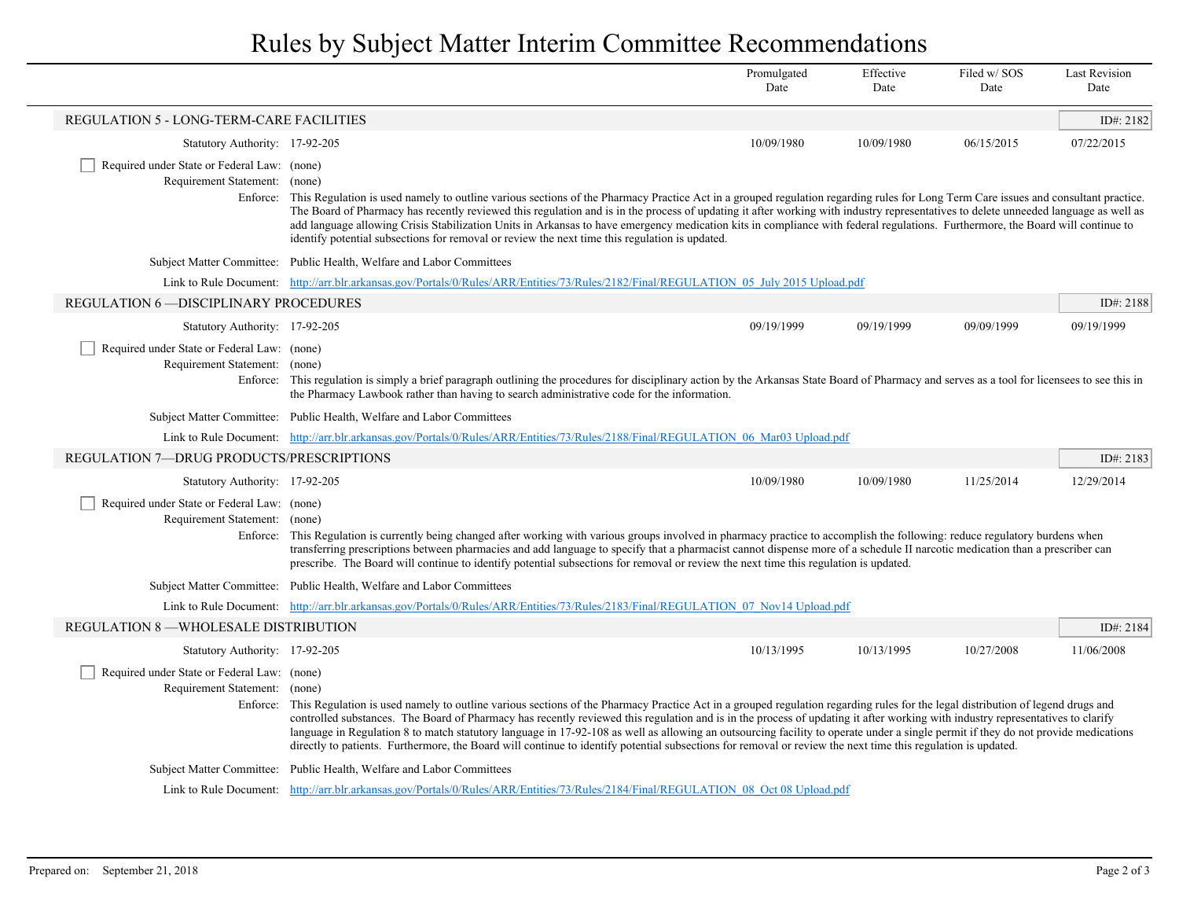## Rules by Subject Matter Interim Committee Recommendations

|                                                                                   |                                                                                                                                                                                                                                                                                                                                                                                                                                                                                                                                                                                                                                                                                                                                 | Promulgated<br>Date | Effective<br>Date | Filed w/SOS<br>Date | <b>Last Revision</b><br>Date |  |
|-----------------------------------------------------------------------------------|---------------------------------------------------------------------------------------------------------------------------------------------------------------------------------------------------------------------------------------------------------------------------------------------------------------------------------------------------------------------------------------------------------------------------------------------------------------------------------------------------------------------------------------------------------------------------------------------------------------------------------------------------------------------------------------------------------------------------------|---------------------|-------------------|---------------------|------------------------------|--|
| <b>REGULATION 5 - LONG-TERM-CARE FACILITIES</b>                                   |                                                                                                                                                                                                                                                                                                                                                                                                                                                                                                                                                                                                                                                                                                                                 |                     |                   |                     | ID#: 2182                    |  |
| Statutory Authority: 17-92-205                                                    |                                                                                                                                                                                                                                                                                                                                                                                                                                                                                                                                                                                                                                                                                                                                 | 10/09/1980          | 10/09/1980        | 06/15/2015          | 07/22/2015                   |  |
| Required under State or Federal Law: (none)<br>Requirement Statement:<br>Enforce: | (none)<br>This Regulation is used namely to outline various sections of the Pharmacy Practice Act in a grouped regulation regarding rules for Long Term Care issues and consultant practice.<br>The Board of Pharmacy has recently reviewed this regulation and is in the process of updating it after working with industry representatives to delete unneeded language as well as<br>add language allowing Crisis Stabilization Units in Arkansas to have emergency medication kits in compliance with federal regulations. Furthermore, the Board will continue to<br>identify potential subsections for removal or review the next time this regulation is updated.                                                         |                     |                   |                     |                              |  |
|                                                                                   | Subject Matter Committee: Public Health, Welfare and Labor Committees                                                                                                                                                                                                                                                                                                                                                                                                                                                                                                                                                                                                                                                           |                     |                   |                     |                              |  |
|                                                                                   | Link to Rule Document: http://arr.blr.arkansas.gov/Portals/0/Rules/ARR/Entities/73/Rules/2182/Final/REGULATION 05 July 2015 Upload.pdf                                                                                                                                                                                                                                                                                                                                                                                                                                                                                                                                                                                          |                     |                   |                     |                              |  |
| <b>REGULATION 6-DISCIPLINARY PROCEDURES</b>                                       |                                                                                                                                                                                                                                                                                                                                                                                                                                                                                                                                                                                                                                                                                                                                 |                     |                   |                     | ID#: 2188                    |  |
| Statutory Authority: 17-92-205                                                    |                                                                                                                                                                                                                                                                                                                                                                                                                                                                                                                                                                                                                                                                                                                                 | 09/19/1999          | 09/19/1999        | 09/09/1999          | 09/19/1999                   |  |
| Required under State or Federal Law: (none)<br>Requirement Statement:<br>Enforce: | (none)<br>This regulation is simply a brief paragraph outlining the procedures for disciplinary action by the Arkansas State Board of Pharmacy and serves as a tool for licensees to see this in<br>the Pharmacy Lawbook rather than having to search administrative code for the information.                                                                                                                                                                                                                                                                                                                                                                                                                                  |                     |                   |                     |                              |  |
|                                                                                   | Subject Matter Committee: Public Health, Welfare and Labor Committees                                                                                                                                                                                                                                                                                                                                                                                                                                                                                                                                                                                                                                                           |                     |                   |                     |                              |  |
|                                                                                   | Link to Rule Document: http://arr.blr.arkansas.gov/Portals/0/Rules/ARR/Entities/73/Rules/2188/Final/REGULATION 06 Mar03 Upload.pdf                                                                                                                                                                                                                                                                                                                                                                                                                                                                                                                                                                                              |                     |                   |                     |                              |  |
| <b>REGULATION 7-DRUG PRODUCTS/PRESCRIPTIONS</b>                                   |                                                                                                                                                                                                                                                                                                                                                                                                                                                                                                                                                                                                                                                                                                                                 |                     |                   |                     | ID#: 2183                    |  |
| Statutory Authority: 17-92-205                                                    |                                                                                                                                                                                                                                                                                                                                                                                                                                                                                                                                                                                                                                                                                                                                 | 10/09/1980          | 10/09/1980        | 11/25/2014          | 12/29/2014                   |  |
| Required under State or Federal Law: (none)<br>Requirement Statement:<br>Enforce: | (none)<br>This Regulation is currently being changed after working with various groups involved in pharmacy practice to accomplish the following: reduce regulatory burdens when<br>transferring prescriptions between pharmacies and add language to specify that a pharmacist cannot dispense more of a schedule II narcotic medication than a prescriber can<br>prescribe. The Board will continue to identify potential subsections for removal or review the next time this regulation is updated.                                                                                                                                                                                                                         |                     |                   |                     |                              |  |
|                                                                                   | Subject Matter Committee: Public Health, Welfare and Labor Committees                                                                                                                                                                                                                                                                                                                                                                                                                                                                                                                                                                                                                                                           |                     |                   |                     |                              |  |
|                                                                                   | Link to Rule Document: http://arr.blr.arkansas.gov/Portals/0/Rules/ARR/Entities/73/Rules/2183/Final/REGULATION 07 Nov14 Upload.pdf                                                                                                                                                                                                                                                                                                                                                                                                                                                                                                                                                                                              |                     |                   |                     |                              |  |
| <b>REGULATION 8-WHOLESALE DISTRIBUTION</b>                                        |                                                                                                                                                                                                                                                                                                                                                                                                                                                                                                                                                                                                                                                                                                                                 |                     |                   |                     | ID#: 2184                    |  |
| Statutory Authority: 17-92-205                                                    |                                                                                                                                                                                                                                                                                                                                                                                                                                                                                                                                                                                                                                                                                                                                 | 10/13/1995          | 10/13/1995        | 10/27/2008          | 11/06/2008                   |  |
| Required under State or Federal Law: (none)<br>Requirement Statement:<br>Enforce: | (none)<br>This Regulation is used namely to outline various sections of the Pharmacy Practice Act in a grouped regulation regarding rules for the legal distribution of legend drugs and<br>controlled substances. The Board of Pharmacy has recently reviewed this regulation and is in the process of updating it after working with industry representatives to clarify<br>language in Regulation 8 to match statutory language in 17-92-108 as well as allowing an outsourcing facility to operate under a single permit if they do not provide medications<br>directly to patients. Furthermore, the Board will continue to identify potential subsections for removal or review the next time this regulation is updated. |                     |                   |                     |                              |  |
|                                                                                   | Subject Matter Committee: Public Health, Welfare and Labor Committees                                                                                                                                                                                                                                                                                                                                                                                                                                                                                                                                                                                                                                                           |                     |                   |                     |                              |  |
|                                                                                   | Link to Rule Document: http://arr.blr.arkansas.gov/Portals/0/Rules/ARR/Entities/73/Rules/2184/Final/REGULATION 08 Oct 08 Upload.pdf                                                                                                                                                                                                                                                                                                                                                                                                                                                                                                                                                                                             |                     |                   |                     |                              |  |